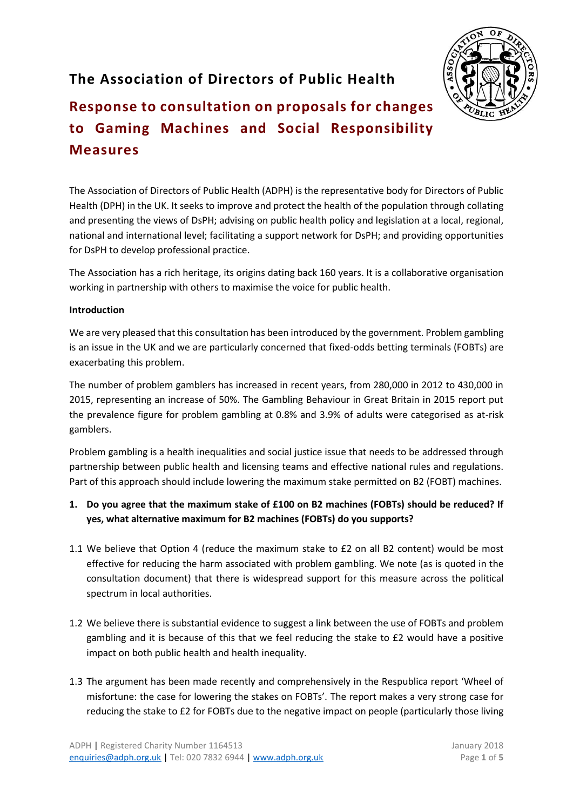## **The Association of Directors of Public Health**



# **Response to consultation on proposals for changes to Gaming Machines and Social Responsibility Measures**

The Association of Directors of Public Health (ADPH) is the representative body for Directors of Public Health (DPH) in the UK. It seeks to improve and protect the health of the population through collating and presenting the views of DsPH; advising on public health policy and legislation at a local, regional, national and international level; facilitating a support network for DsPH; and providing opportunities for DsPH to develop professional practice.

The Association has a rich heritage, its origins dating back 160 years. It is a collaborative organisation working in partnership with others to maximise the voice for public health. 

#### **Introduction**

We are very pleased that this consultation has been introduced by the government. Problem gambling is an issue in the UK and we are particularly concerned that fixed-odds betting terminals (FOBTs) are exacerbating this problem.

The number of problem gamblers has increased in recent years, from 280,000 in 2012 to 430,000 in 2015, representing an increase of 50%. The Gambling Behaviour in Great Britain in 2015 report put the prevalence figure for problem gambling at 0.8% and 3.9% of adults were categorised as at-risk gamblers.

Problem gambling is a health inequalities and social justice issue that needs to be addressed through partnership between public health and licensing teams and effective national rules and regulations. Part of this approach should include lowering the maximum stake permitted on B2 (FOBT) machines.

- **1. Do you agree that the maximum stake of £100 on B2 machines (FOBTs) should be reduced? If yes, what alternative maximum for B2 machines (FOBTs) do you supports?**
- 1.1 We believe that Option 4 (reduce the maximum stake to £2 on all B2 content) would be most effective for reducing the harm associated with problem gambling. We note (as is quoted in the consultation document) that there is widespread support for this measure across the political spectrum in local authorities.
- 1.2 We believe there is substantial evidence to suggest a link between the use of FOBTs and problem gambling and it is because of this that we feel reducing the stake to £2 would have a positive impact on both public health and health inequality.
- 1.3 The argument has been made recently and comprehensively in the Respublica report 'Wheel of misfortune: the case for lowering the stakes on FOBTs'. The report makes a very strong case for reducing the stake to £2 for FOBTs due to the negative impact on people (particularly those living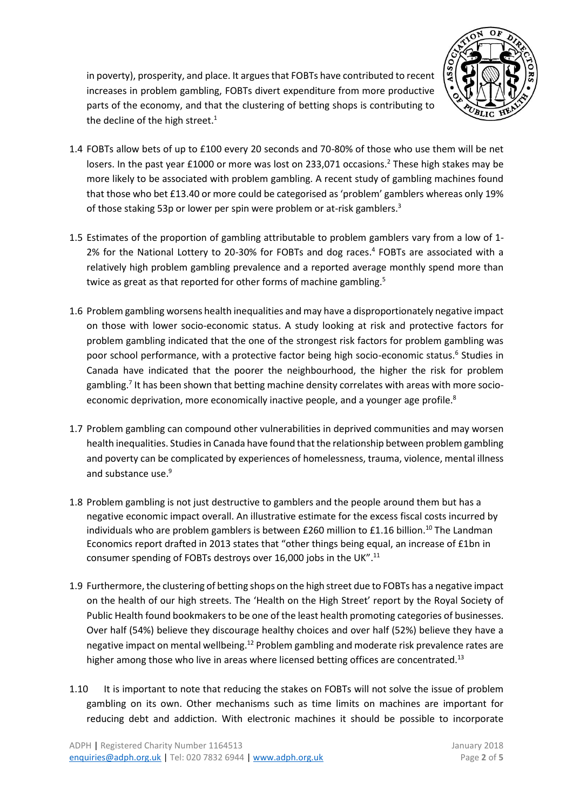

in poverty), prosperity, and place. It argues that FOBTs have contributed to recent increases in problem gambling, FOBTs divert expenditure from more productive parts of the economy, and that the clustering of betting shops is contributing to the decline of the high street.<sup>1</sup>

- 1.4 FOBTs allow bets of up to £100 every 20 seconds and 70-80% of those who use them will be net losers. In the past year £1000 or more was lost on 233,071 occasions.<sup>2</sup> These high stakes may be more likely to be associated with problem gambling. A recent study of gambling machines found that those who bet £13.40 or more could be categorised as 'problem' gamblers whereas only 19% of those staking 53p or lower per spin were problem or at-risk gamblers.<sup>3</sup>
- 1.5 Estimates of the proportion of gambling attributable to problem gamblers vary from a low of 1- 2% for the National Lottery to 20-30% for FOBTs and dog races. 4 FOBTs are associated with a relatively high problem gambling prevalence and a reported average monthly spend more than twice as great as that reported for other forms of machine gambling.<sup>5</sup>
- 1.6 Problem gambling worsens health inequalities and may have a disproportionately negative impact on those with lower socio-economic status. A study looking at risk and protective factors for problem gambling indicated that the one of the strongest risk factors for problem gambling was poor school performance, with a protective factor being high socio-economic status. 6 Studies in Canada have indicated that the poorer the neighbourhood, the higher the risk for problem gambling.<sup>7</sup> It has been shown that betting machine density correlates with areas with more socioeconomic deprivation, more economically inactive people, and a younger age profile. $8$
- 1.7 Problem gambling can compound other vulnerabilities in deprived communities and may worsen health inequalities. Studies in Canada have found that the relationship between problem gambling and poverty can be complicated by experiences of homelessness, trauma, violence, mental illness and substance use. 9
- 1.8 Problem gambling is not just destructive to gamblers and the people around them but has a negative economic impact overall. An illustrative estimate for the excess fiscal costs incurred by individuals who are problem gamblers is between £260 million to £1.16 billion. <sup>10</sup> The Landman Economics report drafted in 2013 states that "other things being equal, an increase of £1bn in consumer spending of FOBTs destroys over 16,000 jobs in the UK".<sup>11</sup>
- 1.9 Furthermore, the clustering of betting shops on the high street due to FOBTs has a negative impact on the health of our high streets. The 'Health on the High Street' report by the Royal Society of Public Health found bookmakers to be one of the least health promoting categories of businesses. Over half (54%) believe they discourage healthy choices and over half (52%) believe they have a negative impact on mental wellbeing.<sup>12</sup> Problem gambling and moderate risk prevalence rates are higher among those who live in areas where licensed betting offices are concentrated.<sup>13</sup>
- 1.10 It is important to note that reducing the stakes on FOBTs will not solve the issue of problem gambling on its own. Other mechanisms such as time limits on machines are important for reducing debt and addiction. With electronic machines it should be possible to incorporate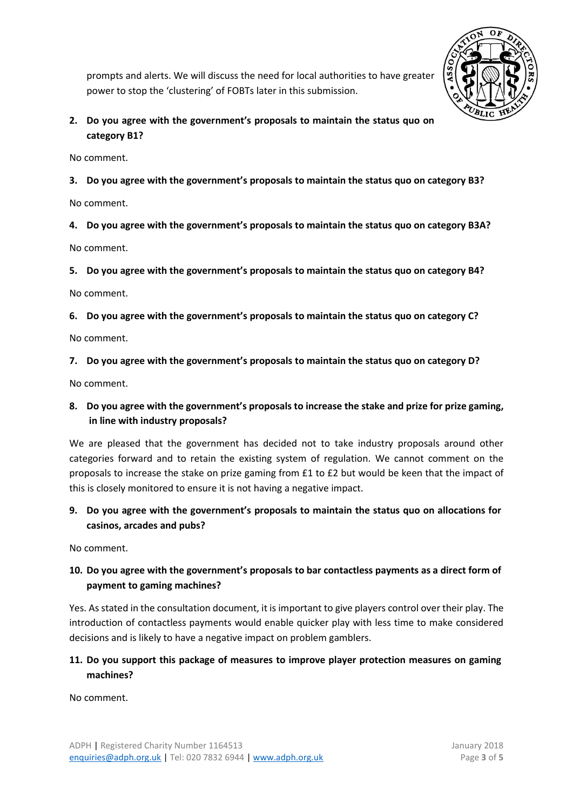

prompts and alerts. We will discuss the need for local authorities to have greater power to stop the 'clustering' of FOBTs later in this submission.

#### **2. Do you agree with the government's proposals to maintain the status quo on category B1?**

No comment.

**3. Do you agree with the government's proposals to maintain the status quo on category B3?**

No comment.

**4. Do you agree with the government's proposals to maintain the status quo on category B3A?**

No comment.

**5. Do you agree with the government's proposals to maintain the status quo on category B4?** 

No comment.

**6. Do you agree with the government's proposals to maintain the status quo on category C?** 

No comment.

#### **7. Do you agree with the government's proposals to maintain the status quo on category D?**

No comment.

## **8. Do you agree with the government's proposals to increase the stake and prize for prize gaming, in line with industry proposals?**

We are pleased that the government has decided not to take industry proposals around other categories forward and to retain the existing system of regulation. We cannot comment on the proposals to increase the stake on prize gaming from £1 to £2 but would be keen that the impact of this is closely monitored to ensure it is not having a negative impact.

## **9. Do you agree with the government's proposals to maintain the status quo on allocations for casinos, arcades and pubs?**

No comment.

## **10. Do you agree with the government's proposals to bar contactless payments as a direct form of payment to gaming machines?**

Yes. As stated in the consultation document, it is important to give players control over their play. The introduction of contactless payments would enable quicker play with less time to make considered decisions and is likely to have a negative impact on problem gamblers.

## **11. Do you support this package of measures to improve player protection measures on gaming machines?**

No comment.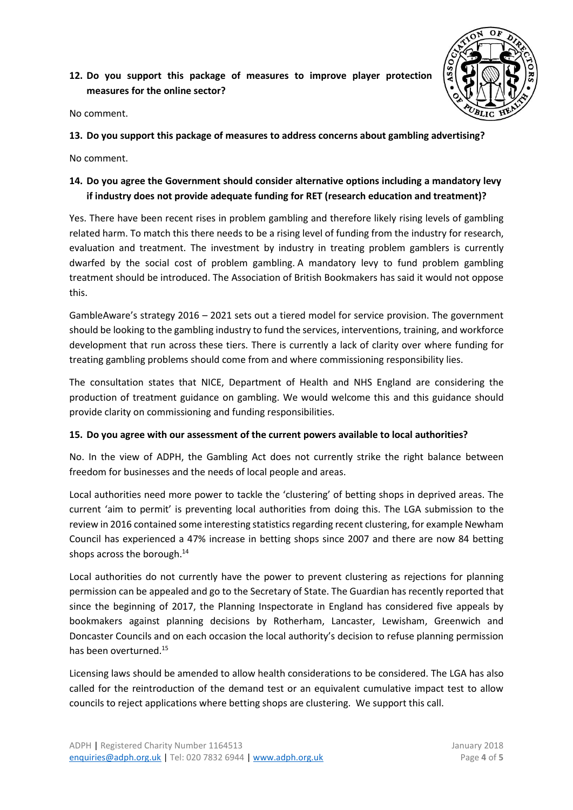## **12. Do you support this package of measures to improve player protection measures for the online sector?**



No comment.

#### **13. Do you support this package of measures to address concerns about gambling advertising?**

No comment.

## **14. Do you agree the Government should consider alternative options including a mandatory levy if industry does not provide adequate funding for RET (research education and treatment)?**

Yes. There have been recent rises in problem gambling and therefore likely rising levels of gambling related harm. To match this there needs to be a rising level of funding from the industry for research, evaluation and treatment. The investment by industry in treating problem gamblers is currently dwarfed by the social cost of problem gambling. A mandatory levy to fund problem gambling treatment should be introduced. The Association of British Bookmakers has said it would not oppose this.

GambleAware's strategy 2016 – 2021 sets out a tiered model for service provision. The government should be looking to the gambling industry to fund the services, interventions, training, and workforce development that run across these tiers. There is currently a lack of clarity over where funding for treating gambling problems should come from and where commissioning responsibility lies.

The consultation states that NICE, Department of Health and NHS England are considering the production of treatment guidance on gambling. We would welcome this and this guidance should provide clarity on commissioning and funding responsibilities.

#### **15. Do you agree with our assessment of the current powers available to local authorities?**

No. In the view of ADPH, the Gambling Act does not currently strike the right balance between freedom for businesses and the needs of local people and areas.

Local authorities need more power to tackle the 'clustering' of betting shops in deprived areas. The current 'aim to permit' is preventing local authorities from doing this. The LGA submission to the review in 2016 contained some interesting statistics regarding recent clustering, for example Newham Council has experienced a 47% increase in betting shops since 2007 and there are now 84 betting shops across the borough.<sup>14</sup>

Local authorities do not currently have the power to prevent clustering as rejections for planning permission can be appealed and go to the Secretary of State. The Guardian has recently reported that since the beginning of 2017, the Planning Inspectorate in England has considered five appeals by bookmakers against planning decisions by Rotherham, Lancaster, Lewisham, Greenwich and Doncaster Councils and on each occasion the local authority's decision to refuse planning permission has been overturned.<sup>15</sup>

Licensing laws should be amended to allow health considerations to be considered. The LGA has also called for the reintroduction of the demand test or an equivalent cumulative impact test to allow councils to reject applications where betting shops are clustering. We support this call.